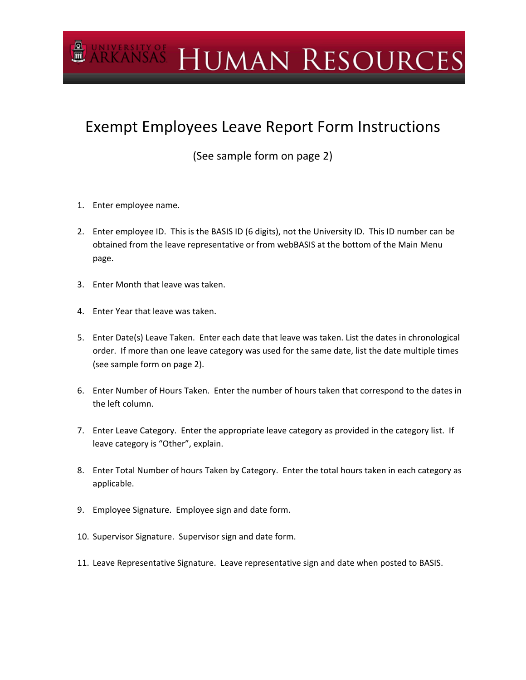## **ARKANSAS HUMAN RESOURCES**

## Exempt Employees Leave Report Form Instructions

(See sample form on page 2)

- 1. Enter employee name.
- 2. Enter employee ID. This is the BASIS ID (6 digits), not the University ID. This ID number can be obtained from the leave representative or from webBASIS at the bottom of the Main Menu page.
- 3. Enter Month that leave was taken.
- 4. Enter Year that leave was taken.
- 5. Enter Date(s) Leave Taken. Enter each date that leave was taken. List the dates in chronological order. If more than one leave category was used for the same date, list the date multiple times (see sample form on page 2).
- 6. Enter Number of Hours Taken. Enter the number of hours taken that correspond to the dates in the left column.
- 7. Enter Leave Category. Enter the appropriate leave category as provided in the category list. If leave category is "Other", explain.
- 8. Enter Total Number of hours Taken by Category. Enter the total hours taken in each category as applicable.
- 9. Employee Signature. Employee sign and date form.
- 10. Supervisor Signature. Supervisor sign and date form.
- 11. Leave Representative Signature. Leave representative sign and date when posted to BASIS.